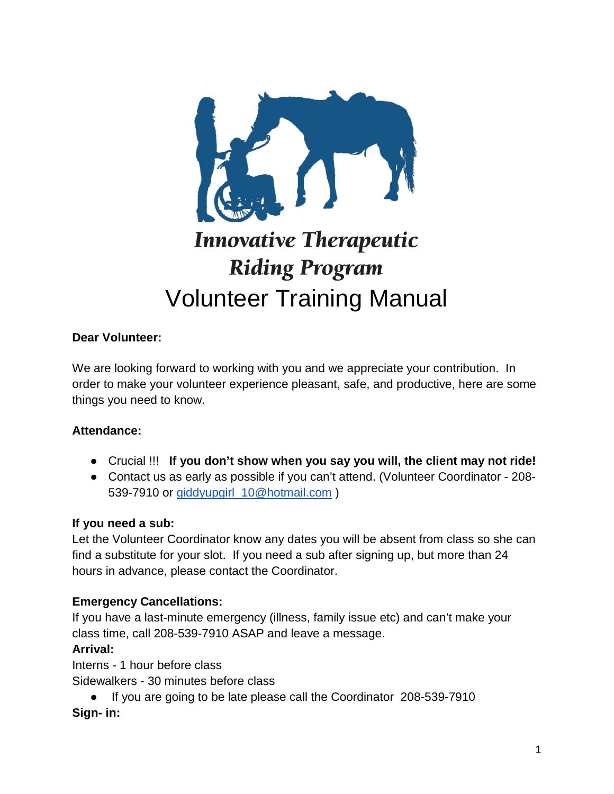

# **Innovative Therapeutic Riding Program** Volunteer Training Manual

#### **Dear Volunteer:**

We are looking forward to working with you and we appreciate your contribution. In order to make your volunteer experience pleasant, safe, and productive, here are some things you need to know.

#### **Attendance:**

- Crucial !!! **If you don't show when you say you will, the client may not ride!**
- Contact us as early as possible if you can't attend. (Volunteer Coordinator 208 539-7910 or [giddyupgirl\\_10@hotmail.com](mailto:giddyupgirl_10@hotmail.com) )

#### **If you need a sub:**

Let the Volunteer Coordinator know any dates you will be absent from class so she can find a substitute for your slot. If you need a sub after signing up, but more than 24 hours in advance, please contact the Coordinator.

#### **Emergency Cancellations:**

If you have a last-minute emergency (illness, family issue etc) and can't make your class time, call 208-539-7910 ASAP and leave a message.

#### **Arrival:**

Interns - 1 hour before class

Sidewalkers - 30 minutes before class

● If you are going to be late please call the Coordinator 208-539-7910 **Sign- in:**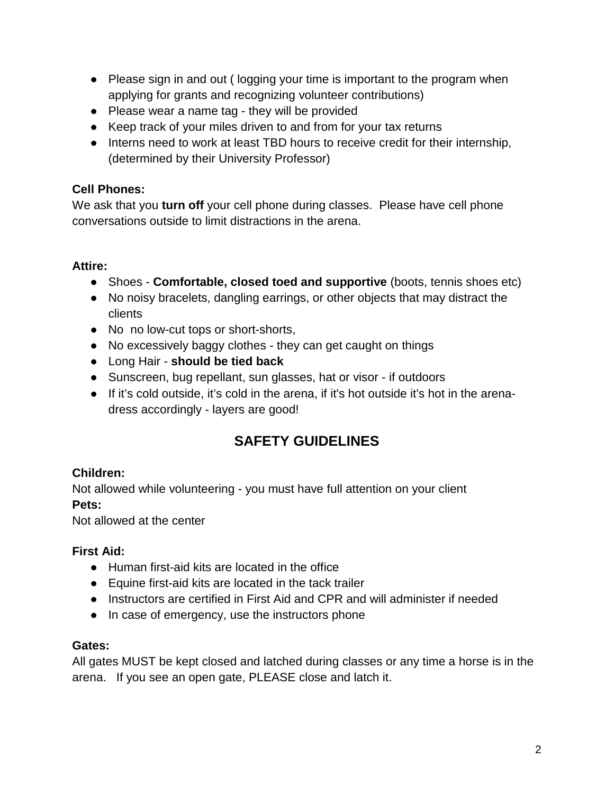- Please sign in and out (logging your time is important to the program when applying for grants and recognizing volunteer contributions)
- Please wear a name tag they will be provided
- Keep track of your miles driven to and from for your tax returns
- Interns need to work at least TBD hours to receive credit for their internship, (determined by their University Professor)

# **Cell Phones:**

We ask that you **turn off** your cell phone during classes. Please have cell phone conversations outside to limit distractions in the arena.

# **Attire:**

- Shoes **Comfortable, closed toed and supportive** (boots, tennis shoes etc)
- No noisy bracelets, dangling earrings, or other objects that may distract the clients
- No no low-cut tops or short-shorts,
- No excessively baggy clothes they can get caught on things
- Long Hair **should be tied back**
- Sunscreen, bug repellant, sun glasses, hat or visor if outdoors
- If it's cold outside, it's cold in the arena, if it's hot outside it's hot in the arenadress accordingly - layers are good!

# **SAFETY GUIDELINES**

# **Children:**

Not allowed while volunteering - you must have full attention on your client **Pets:** 

Not allowed at the center

# **First Aid:**

- Human first-aid kits are located in the office
- Equine first-aid kits are located in the tack trailer
- Instructors are certified in First Aid and CPR and will administer if needed
- In case of emergency, use the instructors phone

# **Gates:**

All gates MUST be kept closed and latched during classes or any time a horse is in the arena. If you see an open gate, PLEASE close and latch it.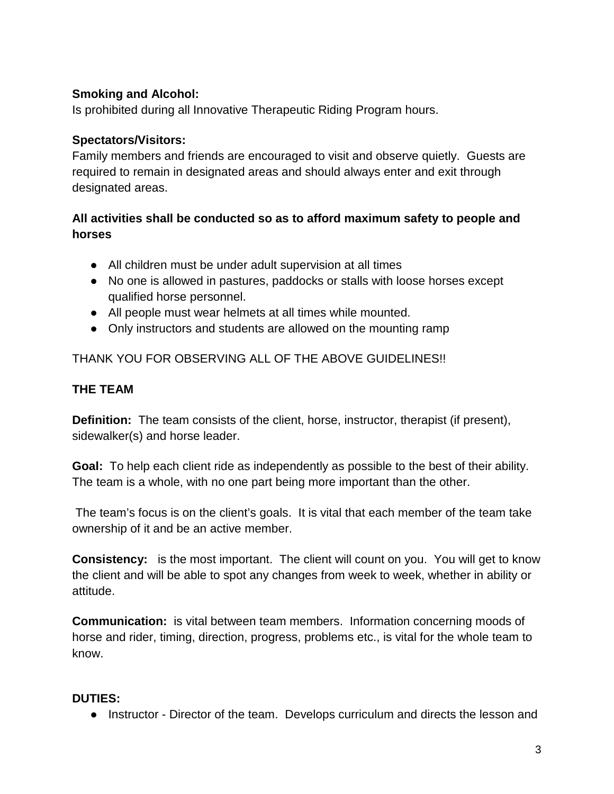#### **Smoking and Alcohol:**

Is prohibited during all Innovative Therapeutic Riding Program hours.

#### **Spectators/Visitors:**

Family members and friends are encouraged to visit and observe quietly. Guests are required to remain in designated areas and should always enter and exit through designated areas.

#### **All activities shall be conducted so as to afford maximum safety to people and horses**

- All children must be under adult supervision at all times
- No one is allowed in pastures, paddocks or stalls with loose horses except qualified horse personnel.
- All people must wear helmets at all times while mounted.
- Only instructors and students are allowed on the mounting ramp

THANK YOU FOR OBSERVING ALL OF THE ABOVE GUIDELINES!!

# **THE TEAM**

**Definition:** The team consists of the client, horse, instructor, therapist (if present), sidewalker(s) and horse leader.

**Goal:** To help each client ride as independently as possible to the best of their ability. The team is a whole, with no one part being more important than the other.

The team's focus is on the client's goals. It is vital that each member of the team take ownership of it and be an active member.

**Consistency:** is the most important. The client will count on you. You will get to know the client and will be able to spot any changes from week to week, whether in ability or attitude.

**Communication:** is vital between team members. Information concerning moods of horse and rider, timing, direction, progress, problems etc., is vital for the whole team to know.

#### **DUTIES:**

● Instructor - Director of the team. Develops curriculum and directs the lesson and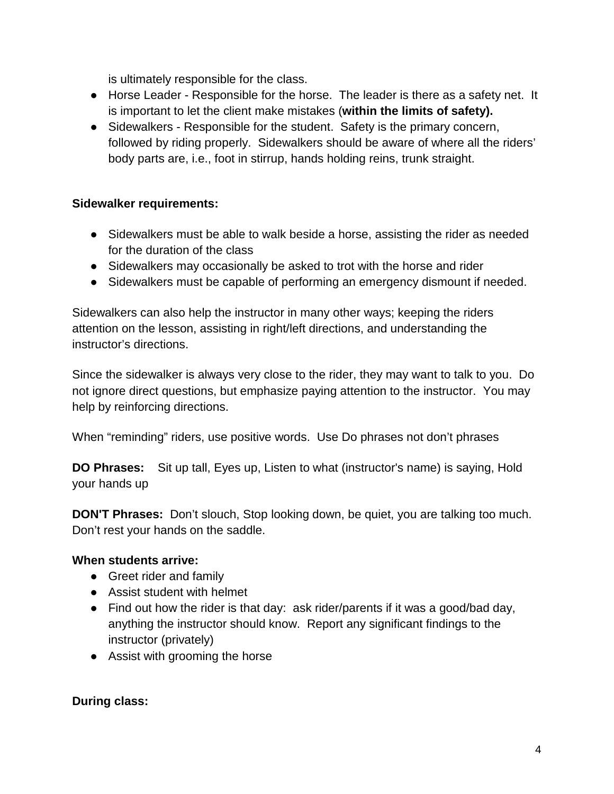is ultimately responsible for the class.

- Horse Leader Responsible for the horse. The leader is there as a safety net. It is important to let the client make mistakes (**within the limits of safety).**
- Sidewalkers Responsible for the student. Safety is the primary concern, followed by riding properly. Sidewalkers should be aware of where all the riders' body parts are, i.e., foot in stirrup, hands holding reins, trunk straight.

#### **Sidewalker requirements:**

- Sidewalkers must be able to walk beside a horse, assisting the rider as needed for the duration of the class
- Sidewalkers may occasionally be asked to trot with the horse and rider
- Sidewalkers must be capable of performing an emergency dismount if needed.

Sidewalkers can also help the instructor in many other ways; keeping the riders attention on the lesson, assisting in right/left directions, and understanding the instructor's directions.

Since the sidewalker is always very close to the rider, they may want to talk to you. Do not ignore direct questions, but emphasize paying attention to the instructor. You may help by reinforcing directions.

When "reminding" riders, use positive words. Use Do phrases not don't phrases

**DO Phrases:** Sit up tall, Eyes up, Listen to what (instructor's name) is saying, Hold your hands up

**DON'T Phrases:** Don't slouch, Stop looking down, be quiet, you are talking too much. Don't rest your hands on the saddle.

#### **When students arrive:**

- Greet rider and family
- Assist student with helmet
- Find out how the rider is that day: ask rider/parents if it was a good/bad day, anything the instructor should know. Report any significant findings to the instructor (privately)
- Assist with grooming the horse

#### **During class:**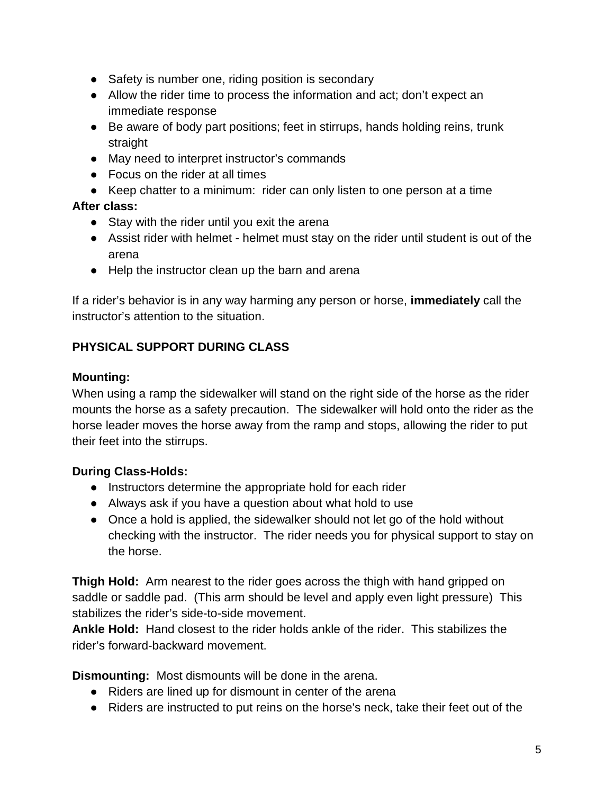- Safety is number one, riding position is secondary
- Allow the rider time to process the information and act; don't expect an immediate response
- Be aware of body part positions; feet in stirrups, hands holding reins, trunk straight
- May need to interpret instructor's commands
- Focus on the rider at all times
- Keep chatter to a minimum: rider can only listen to one person at a time

# **After class:**

- Stay with the rider until you exit the arena
- Assist rider with helmet helmet must stay on the rider until student is out of the arena
- Help the instructor clean up the barn and arena

If a rider's behavior is in any way harming any person or horse, **immediately** call the instructor's attention to the situation.

# **PHYSICAL SUPPORT DURING CLASS**

#### **Mounting:**

When using a ramp the sidewalker will stand on the right side of the horse as the rider mounts the horse as a safety precaution. The sidewalker will hold onto the rider as the horse leader moves the horse away from the ramp and stops, allowing the rider to put their feet into the stirrups.

# **During Class-Holds:**

- Instructors determine the appropriate hold for each rider
- Always ask if you have a question about what hold to use
- Once a hold is applied, the sidewalker should not let go of the hold without checking with the instructor. The rider needs you for physical support to stay on the horse.

**Thigh Hold:** Arm nearest to the rider goes across the thigh with hand gripped on saddle or saddle pad. (This arm should be level and apply even light pressure) This stabilizes the rider's side-to-side movement.

**Ankle Hold:** Hand closest to the rider holds ankle of the rider. This stabilizes the rider's forward-backward movement.

**Dismounting:** Most dismounts will be done in the arena.

- Riders are lined up for dismount in center of the arena
- Riders are instructed to put reins on the horse's neck, take their feet out of the